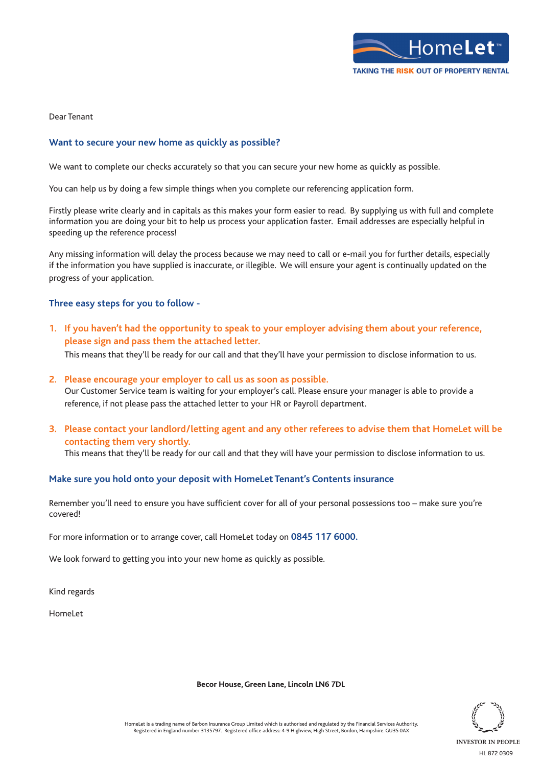

Dear Tenant

## **Want to secure your new home as quickly as possible?**

We want to complete our checks accurately so that you can secure your new home as quickly as possible.

You can help us by doing a few simple things when you complete our referencing application form.

Firstly please write clearly and in capitals as this makes your form easier to read. By supplying us with full and complete information you are doing your bit to help us process your application faster. Email addresses are especially helpful in speeding up the reference process!

Any missing information will delay the process because we may need to call or e-mail you for further details, especially if the information you have supplied is inaccurate, or illegible. We will ensure your agent is continually updated on the progress of your application.

## **Three easy steps for you to follow -**

**1. If you haven't had the opportunity to speak to your employer advising them about your reference, please sign and pass them the attached letter.** 

This means that they'll be ready for our call and that they'll have your permission to disclose information to us.

**2. Please encourage your employer to call us as soon as possible.** Our Customer Service team is waiting for your employer's call. Please ensure your manager is able to provide a reference, if not please pass the attached letter to your HR or Payroll department.

**3. Please contact your landlord/letting agent and any other referees to advise them that HomeLet will be contacting them very shortly.**

This means that they'll be ready for our call and that they will have your permission to disclose information to us.

## **Make sure you hold onto your deposit with HomeLet Tenant's Contents insurance**

Remember you'll need to ensure you have sufficient cover for all of your personal possessions too – make sure you're covered!

For more information or to arrange cover, call HomeLet today on **0845 117 6000.**

We look forward to getting you into your new home as quickly as possible.

Kind regards

HomeLet

**INVESTOR IN PEOPLE** HL 872 0309

HomeLet is a trading name of Barbon Insurance Group Limited which is authorised and regulated by the Financial Services Authority. Registered in England number 3135797. Registered office address: 4-9 Highview, High Street, Bordon, Hampshire. GU35 0AX

**Becor House, Green Lane, Lincoln LN6 7DL**